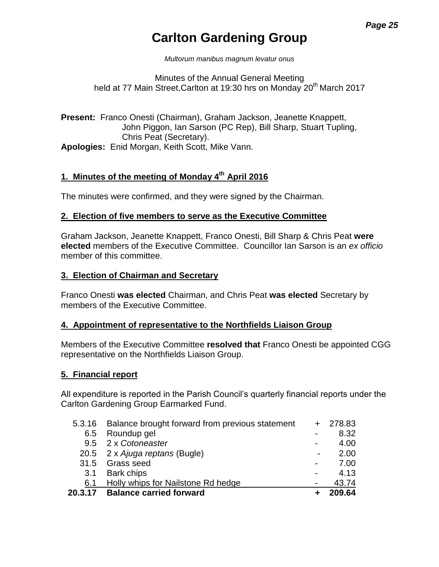# **Carlton Gardening Group**

*Multorum manibus magnum levatur onus*

Minutes of the Annual General Meeting held at 77 Main Street, Carlton at 19:30 hrs on Monday 20<sup>th</sup> March 2017

**Present:** Franco Onesti (Chairman), Graham Jackson, Jeanette Knappett, John Piggon, Ian Sarson (PC Rep), Bill Sharp, Stuart Tupling, Chris Peat (Secretary). **Apologies:** Enid Morgan, Keith Scott, Mike Vann.

# **1. Minutes of the meeting of Monday 4 th April 2016**

The minutes were confirmed, and they were signed by the Chairman.

### **2. Election of five members to serve as the Executive Committee**

Graham Jackson, Jeanette Knappett, Franco Onesti, Bill Sharp & Chris Peat **were elected** members of the Executive Committee. Councillor Ian Sarson is an *ex officio*  member of this committee.

#### **3. Election of Chairman and Secretary**

Franco Onesti **was elected** Chairman, and Chris Peat **was elected** Secretary by members of the Executive Committee.

#### **4. Appointment of representative to the Northfields Liaison Group**

Members of the Executive Committee **resolved that** Franco Onesti be appointed CGG representative on the Northfields Liaison Group.

### **5. Financial report**

All expenditure is reported in the Parish Council's quarterly financial reports under the Carlton Gardening Group Earmarked Fund.

| 20.3.17 | <b>Balance carried forward</b>                         |                          | 209.64 |
|---------|--------------------------------------------------------|--------------------------|--------|
| 6.1     | Holly whips for Nailstone Rd hedge                     |                          | 43.74  |
| 3.1     | <b>Bark chips</b>                                      |                          | 4.13   |
|         | 31.5 Grass seed                                        |                          | 7.00   |
|         | 20.5 2 x Ajuga reptans (Bugle)                         | $\overline{\phantom{a}}$ | 2.00   |
|         | 9.5 2 x Cotoneaster                                    |                          | 4.00   |
|         | 6.5 Roundup gel                                        |                          | 8.32   |
|         | 5.3.16 Balance brought forward from previous statement |                          | 278.83 |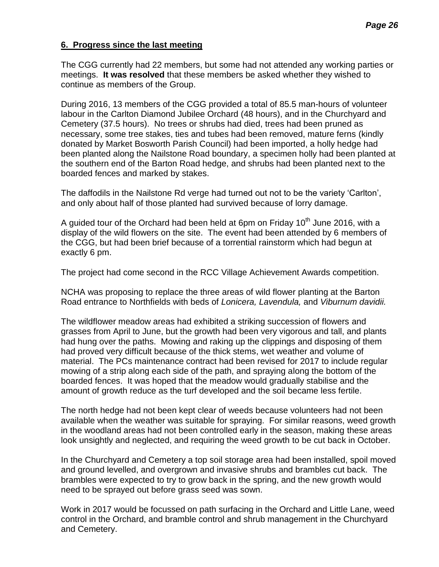### **6. Progress since the last meeting**

The CGG currently had 22 members, but some had not attended any working parties or meetings. **It was resolved** that these members be asked whether they wished to continue as members of the Group.

During 2016, 13 members of the CGG provided a total of 85.5 man-hours of volunteer labour in the Carlton Diamond Jubilee Orchard (48 hours), and in the Churchyard and Cemetery (37.5 hours). No trees or shrubs had died, trees had been pruned as necessary, some tree stakes, ties and tubes had been removed, mature ferns (kindly donated by Market Bosworth Parish Council) had been imported, a holly hedge had been planted along the Nailstone Road boundary, a specimen holly had been planted at the southern end of the Barton Road hedge, and shrubs had been planted next to the boarded fences and marked by stakes.

The daffodils in the Nailstone Rd verge had turned out not to be the variety 'Carlton', and only about half of those planted had survived because of lorry damage.

A guided tour of the Orchard had been held at 6pm on Friday  $10<sup>th</sup>$  June 2016, with a display of the wild flowers on the site. The event had been attended by 6 members of the CGG, but had been brief because of a torrential rainstorm which had begun at exactly 6 pm.

The project had come second in the RCC Village Achievement Awards competition.

NCHA was proposing to replace the three areas of wild flower planting at the Barton Road entrance to Northfields with beds of *Lonicera, Lavendula,* and *Viburnum davidii.*

The wildflower meadow areas had exhibited a striking succession of flowers and grasses from April to June, but the growth had been very vigorous and tall, and plants had hung over the paths. Mowing and raking up the clippings and disposing of them had proved very difficult because of the thick stems, wet weather and volume of material. The PCs maintenance contract had been revised for 2017 to include regular mowing of a strip along each side of the path, and spraying along the bottom of the boarded fences. It was hoped that the meadow would gradually stabilise and the amount of growth reduce as the turf developed and the soil became less fertile.

The north hedge had not been kept clear of weeds because volunteers had not been available when the weather was suitable for spraying. For similar reasons, weed growth in the woodland areas had not been controlled early in the season, making these areas look unsightly and neglected, and requiring the weed growth to be cut back in October.

In the Churchyard and Cemetery a top soil storage area had been installed, spoil moved and ground levelled, and overgrown and invasive shrubs and brambles cut back. The brambles were expected to try to grow back in the spring, and the new growth would need to be sprayed out before grass seed was sown.

Work in 2017 would be focussed on path surfacing in the Orchard and Little Lane, weed control in the Orchard, and bramble control and shrub management in the Churchyard and Cemetery.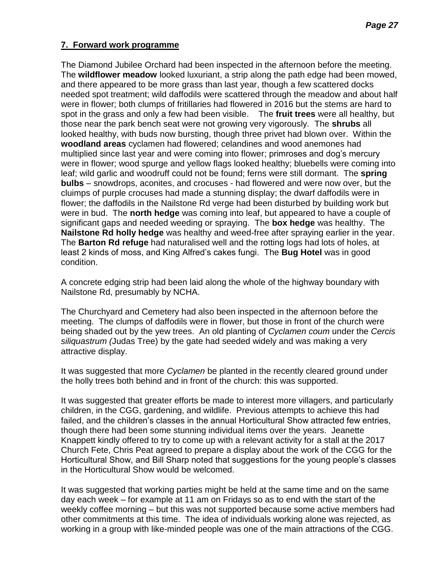### **7. Forward work programme**

The Diamond Jubilee Orchard had been inspected in the afternoon before the meeting. The **wildflower meadow** looked luxuriant, a strip along the path edge had been mowed, and there appeared to be more grass than last year, though a few scattered docks needed spot treatment; wild daffodils were scattered through the meadow and about half were in flower; both clumps of fritillaries had flowered in 2016 but the stems are hard to spot in the grass and only a few had been visible. The **fruit trees** were all healthy, but those near the park bench seat were not growing very vigorously. The **shrubs** all looked healthy, with buds now bursting, though three privet had blown over. Within the **woodland areas** cyclamen had flowered; celandines and wood anemones had multiplied since last year and were coming into flower; primroses and dog's mercury were in flower; wood spurge and yellow flags looked healthy; bluebells were coming into leaf; wild garlic and woodruff could not be found; ferns were still dormant. The **spring bulbs** – snowdrops, aconites, and crocuses - had flowered and were now over, but the cluimps of purple crocuses had made a stunning display; the dwarf daffodils were in flower; the daffodils in the Nailstone Rd verge had been disturbed by building work but were in bud. The **north hedge** was coming into leaf, but appeared to have a couple of significant gaps and needed weeding or spraying. The **box hedge** was healthy. The **Nailstone Rd holly hedge** was healthy and weed-free after spraying earlier in the year. The **Barton Rd refuge** had naturalised well and the rotting logs had lots of holes, at least 2 kinds of moss, and King Alfred's cakes fungi. The **Bug Hotel** was in good condition.

A concrete edging strip had been laid along the whole of the highway boundary with Nailstone Rd, presumably by NCHA.

The Churchyard and Cemetery had also been inspected in the afternoon before the meeting. The clumps of daffodils were in flower, but those in front of the church were being shaded out by the yew trees. An old planting of *Cyclamen coum* under the *Cercis siliquastrum (*Judas Tree) by the gate had seeded widely and was making a very attractive display.

It was suggested that more *Cyclamen* be planted in the recently cleared ground under the holly trees both behind and in front of the church: this was supported.

It was suggested that greater efforts be made to interest more villagers, and particularly children, in the CGG, gardening, and wildlife. Previous attempts to achieve this had failed, and the children's classes in the annual Horticultural Show attracted few entries, though there had been some stunning individual items over the years. Jeanette Knappett kindly offered to try to come up with a relevant activity for a stall at the 2017 Church Fete, Chris Peat agreed to prepare a display about the work of the CGG for the Horticultural Show, and Bill Sharp noted that suggestions for the young people's classes in the Horticultural Show would be welcomed.

It was suggested that working parties might be held at the same time and on the same day each week – for example at 11 am on Fridays so as to end with the start of the weekly coffee morning – but this was not supported because some active members had other commitments at this time. The idea of individuals working alone was rejected, as working in a group with like-minded people was one of the main attractions of the CGG.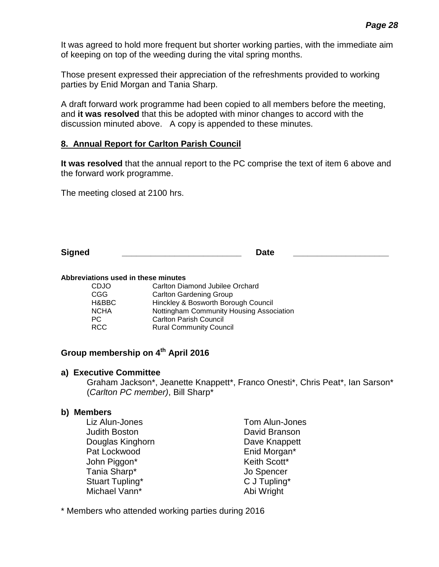It was agreed to hold more frequent but shorter working parties, with the immediate aim of keeping on top of the weeding during the vital spring months.

Those present expressed their appreciation of the refreshments provided to working parties by Enid Morgan and Tania Sharp.

A draft forward work programme had been copied to all members before the meeting, and **it was resolved** that this be adopted with minor changes to accord with the discussion minuted above. A copy is appended to these minutes.

### **8. Annual Report for Carlton Parish Council**

**It was resolved** that the annual report to the PC comprise the text of item 6 above and the forward work programme.

The meeting closed at 2100 hrs.

| <b>Signed</b> | Jate |  |
|---------------|------|--|
|               |      |  |

#### **Abbreviations used in these minutes**

| CDJO        | Carlton Diamond Jubilee Orchard          |
|-------------|------------------------------------------|
| CGG         | <b>Carlton Gardening Group</b>           |
| H&BBC       | Hinckley & Bosworth Borough Council      |
| <b>NCHA</b> | Nottingham Community Housing Association |
| PC.         | <b>Carlton Parish Council</b>            |
| RCC         | <b>Rural Community Council</b>           |
|             |                                          |

### **Group membership on 4 th April 2016**

#### **a) Executive Committee**

Graham Jackson\*, Jeanette Knappett\*, Franco Onesti\*, Chris Peat\*, Ian Sarson\* (*Carlton PC member)*, Bill Sharp\*

### **b) Members**

Liz Alun-Jones Tom Alun-Jones Judith Boston David Branson Douglas Kinghorn **Dave Knappett** Pat Lockwood **Enid Morgan\*** John Piggon\* Neith Scott\* Tania Sharp\* Jo Spencer Stuart Tupling\* C J Tupling\* Michael Vann<sup>\*</sup> Abi Wright

\* Members who attended working parties during 2016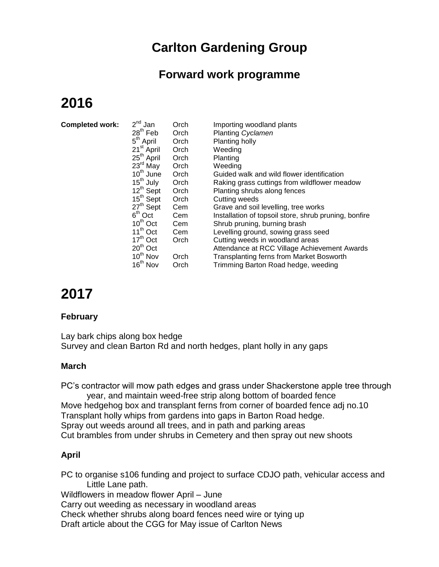# **Carlton Gardening Group**

# **Forward work programme**

# **2016**

| <b>Completed work:</b> | $2^{nd}$ Jan<br>$28th$ Feb<br>$5^{\text{th}}$ April | Orch<br>Orch | Importing woodland plants<br>Planting Cyclamen        |
|------------------------|-----------------------------------------------------|--------------|-------------------------------------------------------|
|                        | 21 <sup>st</sup> April                              | Orch         | Planting holly                                        |
|                        |                                                     | Orch         | Weeding                                               |
|                        | 25 <sup>th</sup> April                              | Orch         | Planting                                              |
|                        | $23^{\text{rd}}$ May                                | Orch         | Weeding                                               |
|                        | 10 <sup>th</sup> June                               | Orch         | Guided walk and wild flower identification            |
|                        | $15^{\text{th}}$ July                               | Orch         | Raking grass cuttings from wildflower meadow          |
|                        | 12 <sup>th</sup> Sept                               | Orch         | Planting shrubs along fences                          |
|                        | 15 <sup>th</sup> Sept                               | Orch         | <b>Cutting weeds</b>                                  |
|                        | $27th$ Sept                                         | Cem          | Grave and soil levelling, tree works                  |
|                        | $6th$ Oct                                           | Cem          | Installation of topsoil store, shrub pruning, bonfire |
|                        | $10^{th}$ Oct                                       | Cem          | Shrub pruning, burning brash                          |
|                        | $11^{th}$ Oct                                       | Cem          | Levelling ground, sowing grass seed                   |
|                        | $17th$ Oct                                          | Orch         | Cutting weeds in woodland areas                       |
|                        | $20th$ Oct                                          |              | Attendance at RCC Village Achievement Awards          |
|                        | 10 <sup>th</sup> Nov                                | Orch         | <b>Transplanting ferns from Market Bosworth</b>       |
|                        | 16 <sup>th</sup> Nov                                | Orch         | Trimming Barton Road hedge, weeding                   |

# **2017**

## **February**

Lay bark chips along box hedge Survey and clean Barton Rd and north hedges, plant holly in any gaps

## **March**

PC's contractor will mow path edges and grass under Shackerstone apple tree through year, and maintain weed-free strip along bottom of boarded fence Move hedgehog box and transplant ferns from corner of boarded fence adj no.10 Transplant holly whips from gardens into gaps in Barton Road hedge. Spray out weeds around all trees, and in path and parking areas Cut brambles from under shrubs in Cemetery and then spray out new shoots

## **April**

PC to organise s106 funding and project to surface CDJO path, vehicular access and Little Lane path. Wildflowers in meadow flower April – June Carry out weeding as necessary in woodland areas

Check whether shrubs along board fences need wire or tying up

Draft article about the CGG for May issue of Carlton News